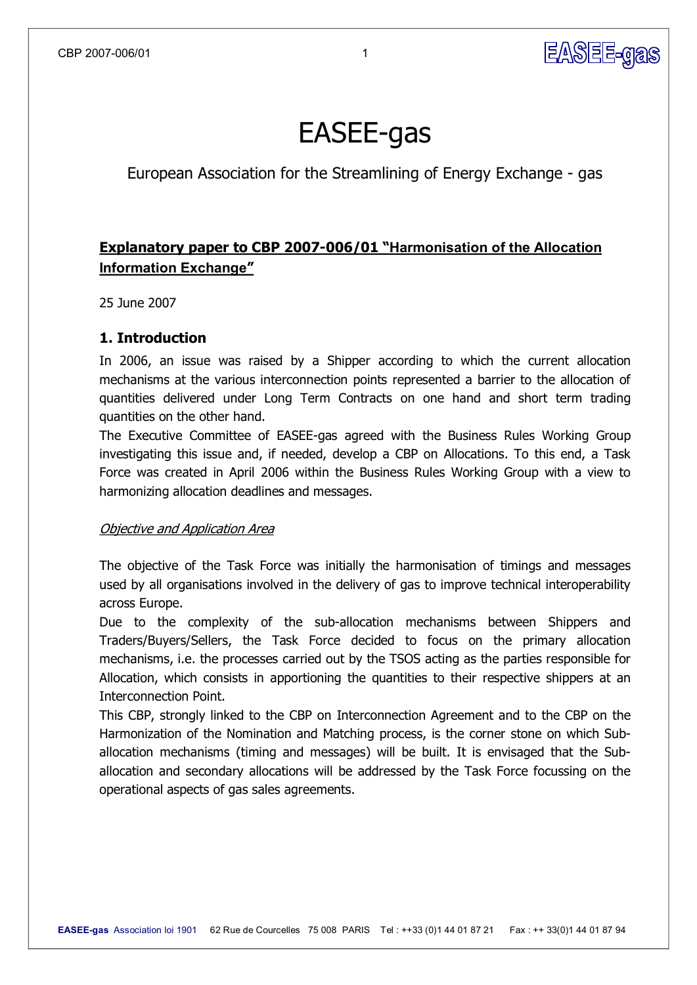

# EASEE-gas

European Association for the Streamlining of Energy Exchange - gas

# **Explanatory paper to CBP 2007-006/01 "Harmonisation of the Allocation Information Exchange"**

25 June 2007

## **1. Introduction**

In 2006, an issue was raised by a Shipper according to which the current allocation mechanisms at the various interconnection points represented a barrier to the allocation of quantities delivered under Long Term Contracts on one hand and short term trading quantities on the other hand.

The Executive Committee of EASEE-gas agreed with the Business Rules Working Group investigating this issue and, if needed, develop a CBP on Allocations. To this end, a Task Force was created in April 2006 within the Business Rules Working Group with a view to harmonizing allocation deadlines and messages.

## Objective and Application Area

The objective of the Task Force was initially the harmonisation of timings and messages used by all organisations involved in the delivery of gas to improve technical interoperability across Europe.

Due to the complexity of the sub-allocation mechanisms between Shippers and Traders/Buyers/Sellers, the Task Force decided to focus on the primary allocation mechanisms, i.e. the processes carried out by the TSOS acting as the parties responsible for Allocation, which consists in apportioning the quantities to their respective shippers at an Interconnection Point.

This CBP, strongly linked to the CBP on Interconnection Agreement and to the CBP on the Harmonization of the Nomination and Matching process, is the corner stone on which Sub allocation mechanisms (timing and messages) will be built. It is envisaged that the Sub allocation and secondary allocations will be addressed by the Task Force focussing on the operational aspects of gas sales agreements.